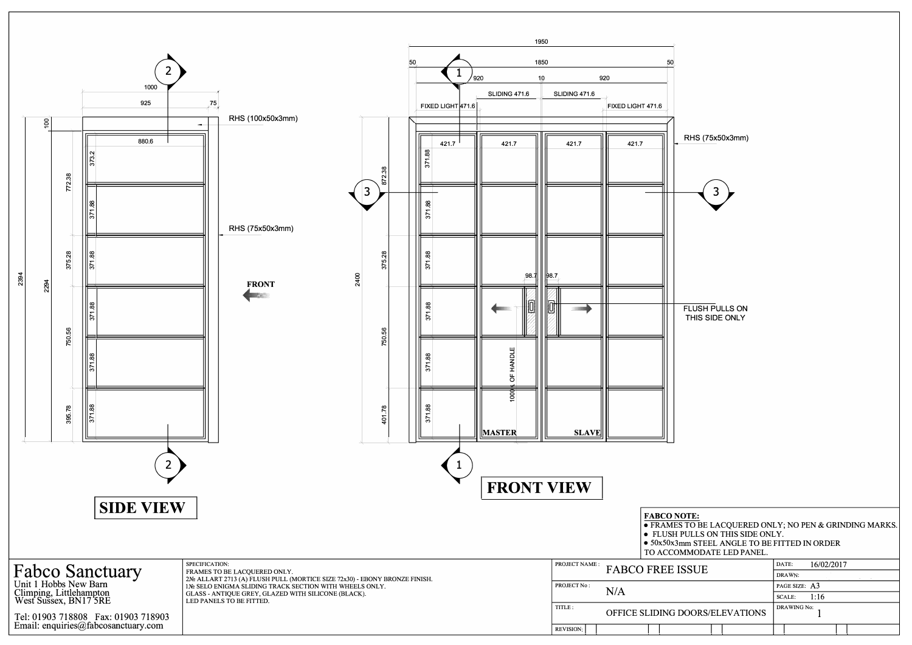

RHS (75x50x3mm)

**FLUSH PULLS ON** THIS SIDE ONLY

| SUE                    | 16/02/2017<br>DATE:   |  |  |  |  |  |  |
|------------------------|-----------------------|--|--|--|--|--|--|
|                        | DRAWN:                |  |  |  |  |  |  |
|                        | PAGE SIZE: A3         |  |  |  |  |  |  |
|                        | 1:16<br><b>SCALE:</b> |  |  |  |  |  |  |
| <b>OORS/ELEVATIONS</b> | <b>DRAWING No:</b>    |  |  |  |  |  |  |
|                        |                       |  |  |  |  |  |  |
|                        |                       |  |  |  |  |  |  |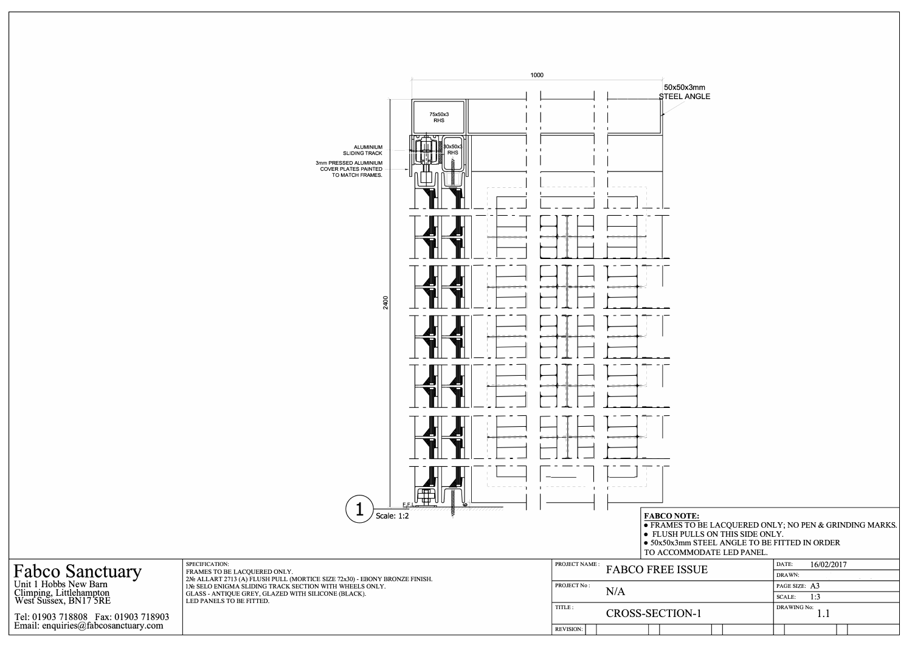

| SUE         | 16/02/2017<br>DATE:  |  |  |  |  |  |
|-------------|----------------------|--|--|--|--|--|
|             | DRAWN:               |  |  |  |  |  |
|             | PAGE SIZE: A3        |  |  |  |  |  |
|             | 1:3<br><b>SCALE:</b> |  |  |  |  |  |
| $\sqrt{-1}$ | <b>DRAWING No:</b>   |  |  |  |  |  |
|             |                      |  |  |  |  |  |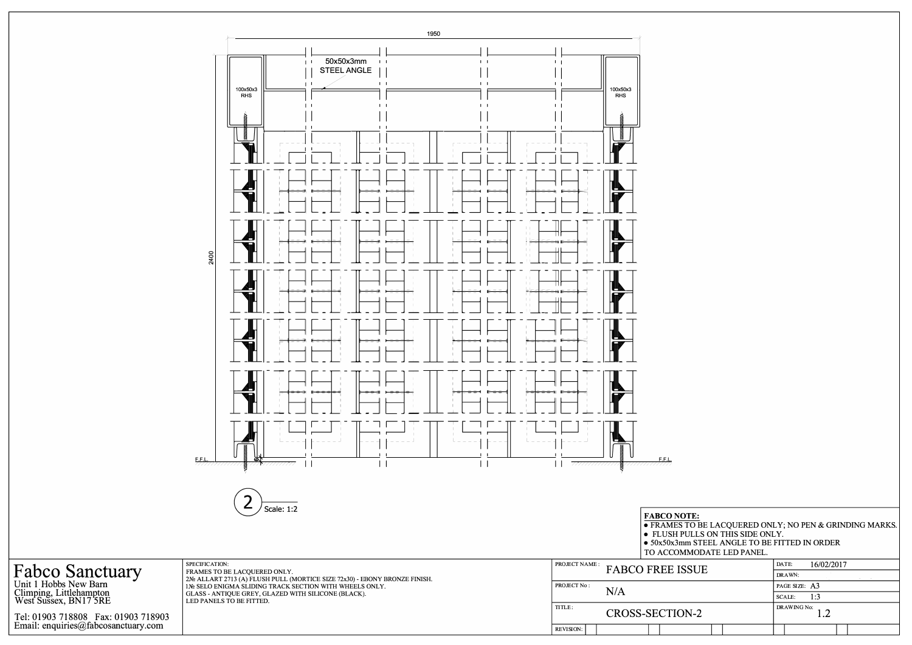

| • FRAMES TO BE LACQUERED ONLY; NO PEN & GRINDING MARKS.<br>• FLUSH PULLS ON THIS SIDE ONLY.<br>$\bullet$ 50x50x3mm STEEL ANGLE TO BE FITTED IN ORDER<br>TO ACCOMMODATE LED PANEL. |                      |  |  |  |  |  |
|-----------------------------------------------------------------------------------------------------------------------------------------------------------------------------------|----------------------|--|--|--|--|--|
| <b>PREE ISSUE</b>                                                                                                                                                                 | 16/02/2017<br>DATE:  |  |  |  |  |  |
|                                                                                                                                                                                   | DRAWN:               |  |  |  |  |  |
|                                                                                                                                                                                   | PAGE SIZE: A3        |  |  |  |  |  |
|                                                                                                                                                                                   | 1:3<br><b>SCALE:</b> |  |  |  |  |  |
| -SECTION-2                                                                                                                                                                        | <b>DRAWING No:</b>   |  |  |  |  |  |
|                                                                                                                                                                                   |                      |  |  |  |  |  |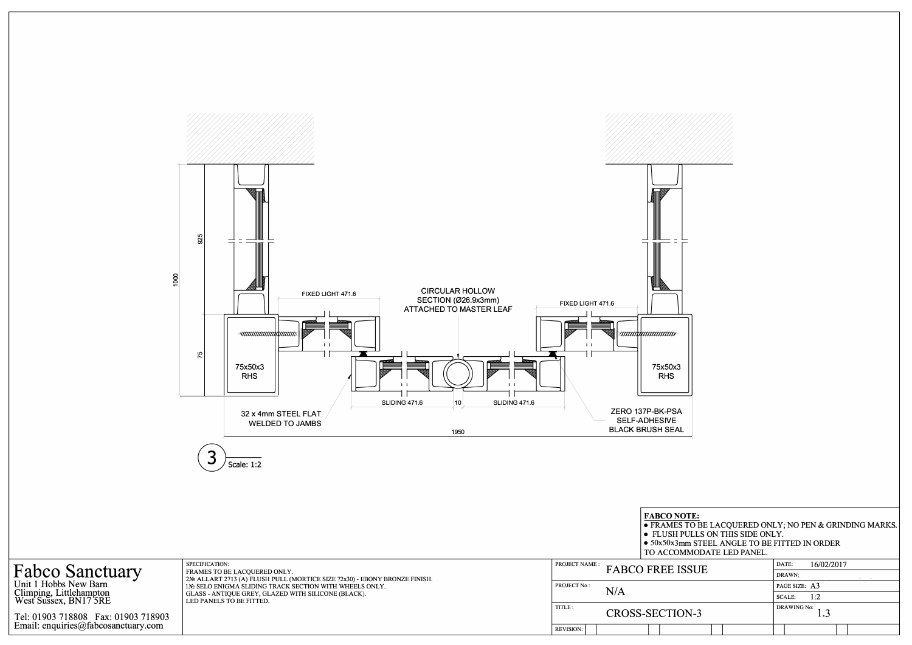



| MODATE LED PANEL. |  |
|-------------------|--|
|-------------------|--|

| SUE   | 16/02/2017<br>DATE:      |  |  |  |  |  |
|-------|--------------------------|--|--|--|--|--|
|       | DRAWN:                   |  |  |  |  |  |
|       | PAGE SIZE: A3            |  |  |  |  |  |
|       | 1:2<br><b>SCALE:</b>     |  |  |  |  |  |
| $J-3$ | <b>DRAWING No:</b> $1.3$ |  |  |  |  |  |
|       |                          |  |  |  |  |  |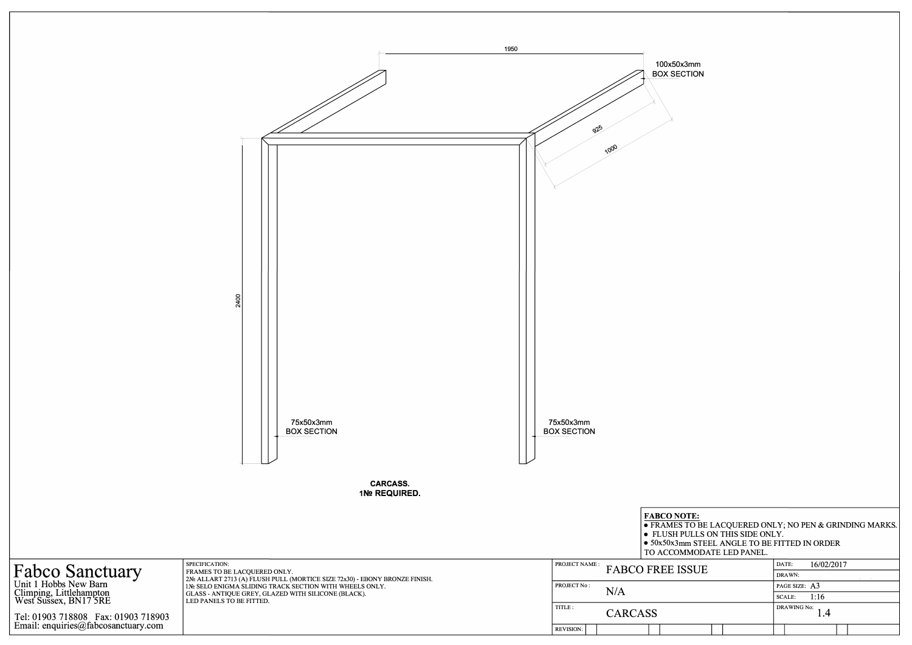

| SUE | 16/02/2017<br>DATE:          |
|-----|------------------------------|
|     | DRAWN:                       |
|     | PAGE SIZE: A3                |
|     | SCALE: $1:16$                |
|     | DRAWING No:<br>$\mathcal{A}$ |
|     |                              |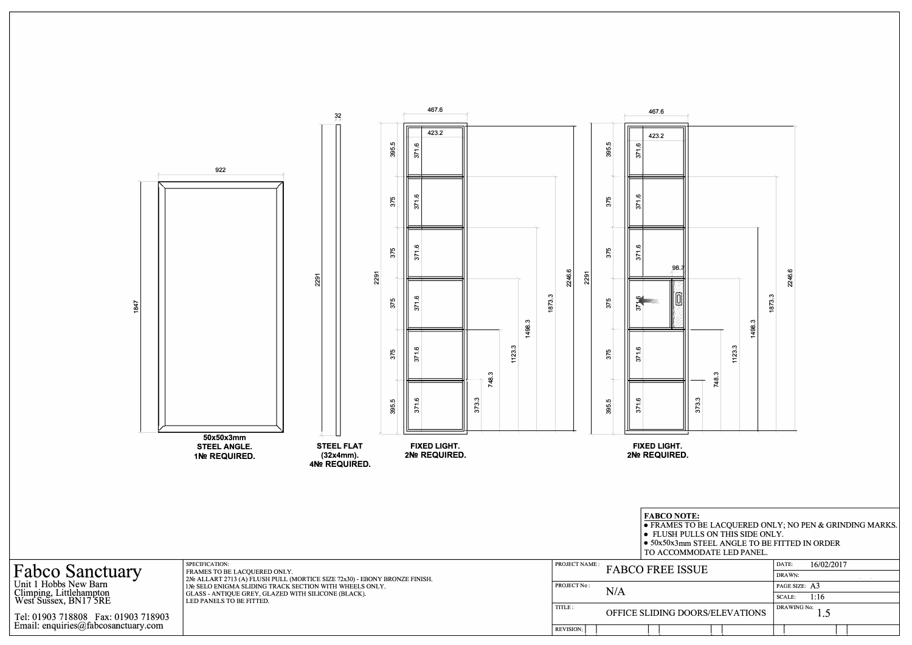

**• FRAMES TO BE LACQUERED ONLY; NO PEN & GRINDING MARKS.** 

| SUE                    | 16/02/2017<br>DATE:       |  |  |  |  |
|------------------------|---------------------------|--|--|--|--|
|                        | DRAWN:                    |  |  |  |  |
|                        | PAGE SIZE: A3             |  |  |  |  |
|                        | 1:16<br><b>SCALE:</b>     |  |  |  |  |
| <b>OORS/ELEVATIONS</b> | <b>DRAWING No:</b><br>1.5 |  |  |  |  |
|                        |                           |  |  |  |  |
|                        |                           |  |  |  |  |